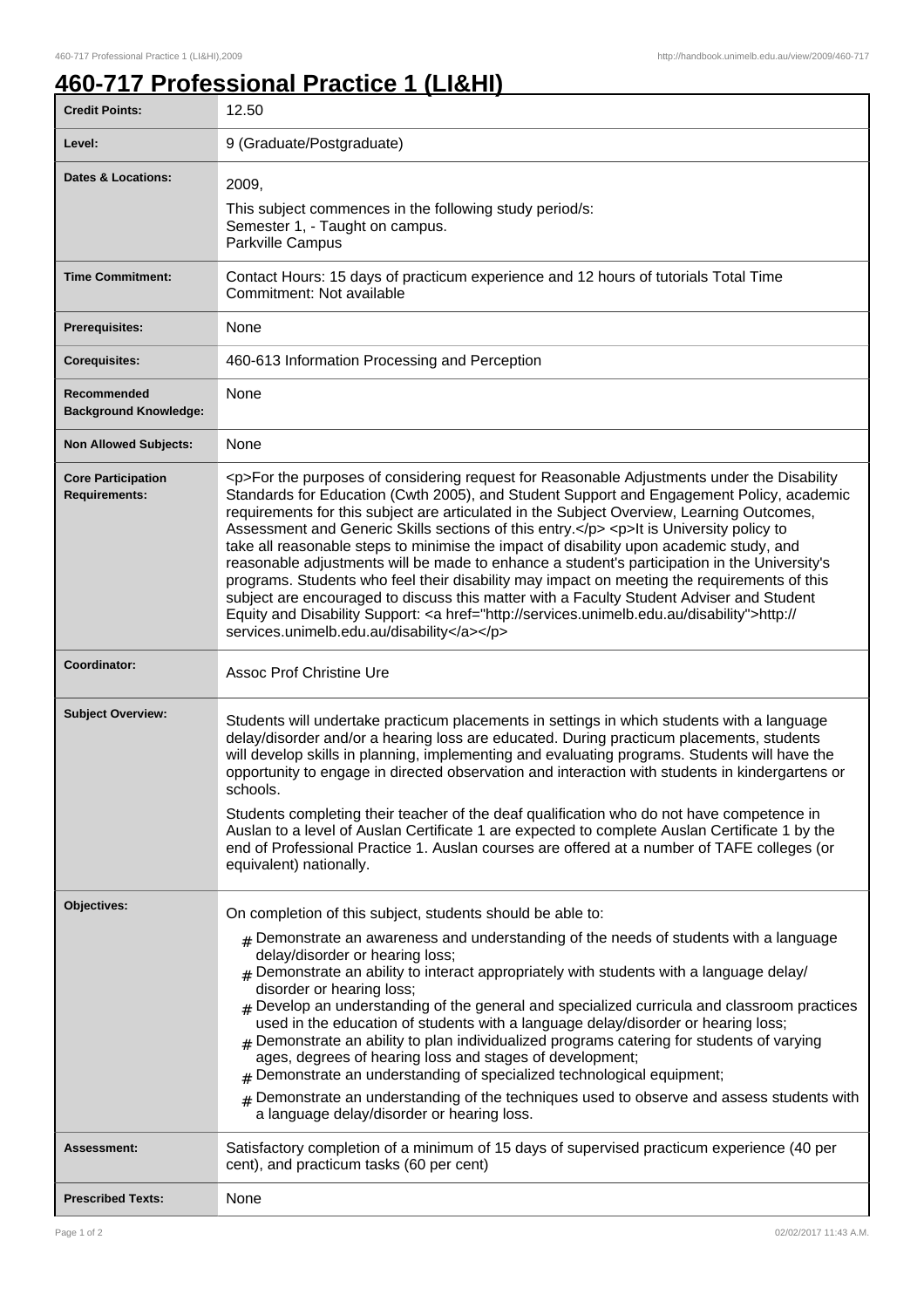## **460-717 Professional Practice 1 (LI&HI)**

| <b>Credit Points:</b>                             | 12.50                                                                                                                                                                                                                                                                                                                                                                                                                                                                                                                                                                                                                                                                                                                                                                                                                                                                                                                     |
|---------------------------------------------------|---------------------------------------------------------------------------------------------------------------------------------------------------------------------------------------------------------------------------------------------------------------------------------------------------------------------------------------------------------------------------------------------------------------------------------------------------------------------------------------------------------------------------------------------------------------------------------------------------------------------------------------------------------------------------------------------------------------------------------------------------------------------------------------------------------------------------------------------------------------------------------------------------------------------------|
| Level:                                            | 9 (Graduate/Postgraduate)                                                                                                                                                                                                                                                                                                                                                                                                                                                                                                                                                                                                                                                                                                                                                                                                                                                                                                 |
| <b>Dates &amp; Locations:</b>                     | 2009,<br>This subject commences in the following study period/s:<br>Semester 1, - Taught on campus.<br>Parkville Campus                                                                                                                                                                                                                                                                                                                                                                                                                                                                                                                                                                                                                                                                                                                                                                                                   |
| <b>Time Commitment:</b>                           | Contact Hours: 15 days of practicum experience and 12 hours of tutorials Total Time<br>Commitment: Not available                                                                                                                                                                                                                                                                                                                                                                                                                                                                                                                                                                                                                                                                                                                                                                                                          |
| <b>Prerequisites:</b>                             | None                                                                                                                                                                                                                                                                                                                                                                                                                                                                                                                                                                                                                                                                                                                                                                                                                                                                                                                      |
| <b>Corequisites:</b>                              | 460-613 Information Processing and Perception                                                                                                                                                                                                                                                                                                                                                                                                                                                                                                                                                                                                                                                                                                                                                                                                                                                                             |
| Recommended<br><b>Background Knowledge:</b>       | None                                                                                                                                                                                                                                                                                                                                                                                                                                                                                                                                                                                                                                                                                                                                                                                                                                                                                                                      |
| <b>Non Allowed Subjects:</b>                      | None                                                                                                                                                                                                                                                                                                                                                                                                                                                                                                                                                                                                                                                                                                                                                                                                                                                                                                                      |
| <b>Core Participation</b><br><b>Requirements:</b> | <p>For the purposes of considering request for Reasonable Adjustments under the Disability<br/>Standards for Education (Cwth 2005), and Student Support and Engagement Policy, academic<br/>requirements for this subject are articulated in the Subject Overview, Learning Outcomes,<br/>Assessment and Generic Skills sections of this entry.</p> <p>lt is University policy to<br/>take all reasonable steps to minimise the impact of disability upon academic study, and<br/>reasonable adjustments will be made to enhance a student's participation in the University's<br/>programs. Students who feel their disability may impact on meeting the requirements of this<br/>subject are encouraged to discuss this matter with a Faculty Student Adviser and Student<br/>Equity and Disability Support: <a href="http://services.unimelb.edu.au/disability">http://<br/>services.unimelb.edu.au/disability</a></p> |
| Coordinator:                                      | <b>Assoc Prof Christine Ure</b>                                                                                                                                                                                                                                                                                                                                                                                                                                                                                                                                                                                                                                                                                                                                                                                                                                                                                           |
| <b>Subject Overview:</b>                          | Students will undertake practicum placements in settings in which students with a language<br>delay/disorder and/or a hearing loss are educated. During practicum placements, students<br>will develop skills in planning, implementing and evaluating programs. Students will have the<br>opportunity to engage in directed observation and interaction with students in kindergartens or<br>schools.<br>Students completing their teacher of the deaf qualification who do not have competence in<br>Auslan to a level of Auslan Certificate 1 are expected to complete Auslan Certificate 1 by the<br>end of Professional Practice 1. Auslan courses are offered at a number of TAFE colleges (or<br>equivalent) nationally.                                                                                                                                                                                           |
| Objectives:                                       | On completion of this subject, students should be able to:<br>$_{\rm #}$ Demonstrate an awareness and understanding of the needs of students with a language<br>delay/disorder or hearing loss;<br>$#$ Demonstrate an ability to interact appropriately with students with a language delay/<br>disorder or hearing loss;<br>$#$ Develop an understanding of the general and specialized curricula and classroom practices<br>used in the education of students with a language delay/disorder or hearing loss;<br>$_{\rm #}$ Demonstrate an ability to plan individualized programs catering for students of varying<br>ages, degrees of hearing loss and stages of development;<br>Demonstrate an understanding of specialized technological equipment;<br>#<br>Demonstrate an understanding of the techniques used to observe and assess students with<br>$\pm$<br>a language delay/disorder or hearing loss.          |
| <b>Assessment:</b>                                | Satisfactory completion of a minimum of 15 days of supervised practicum experience (40 per<br>cent), and practicum tasks (60 per cent)                                                                                                                                                                                                                                                                                                                                                                                                                                                                                                                                                                                                                                                                                                                                                                                    |
| <b>Prescribed Texts:</b>                          | None                                                                                                                                                                                                                                                                                                                                                                                                                                                                                                                                                                                                                                                                                                                                                                                                                                                                                                                      |